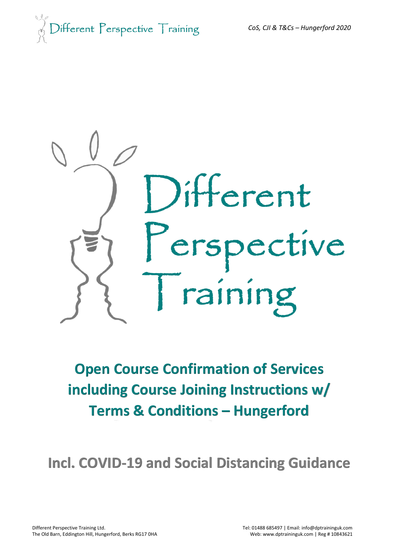



# **Open Course Confirmation of Services including Course Joining Instructions w/ Terms & Conditions – Hungerford**

**Incl. COVID-19 and Social Distancing Guidance**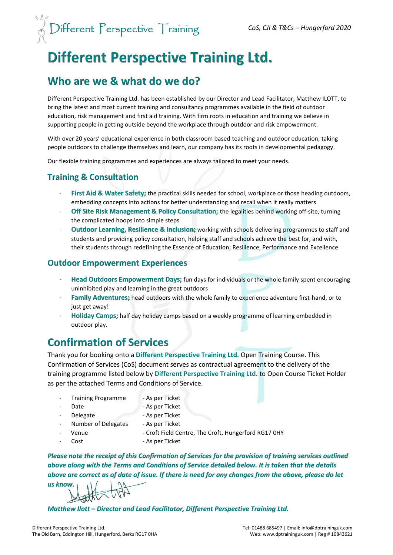

# **Different Perspective Training Ltd.**

# **Who are we & what do we do?**

Different Perspective Training Ltd. has been established by our Director and Lead Facilitator, Matthew ILOTT, to bring the latest and most current training and consultancy programmes available in the field of outdoor education, risk management and first aid training. With firm roots in education and training we believe in supporting people in getting outside beyond the workplace through outdoor and risk empowerment.

With over 20 years' educational experience in both classroom based teaching and outdoor education, taking people outdoors to challenge themselves and learn, our company has its roots in developmental pedagogy.

Our flexible training programmes and experiences are always tailored to meet your needs.

## **Training & Consultation**

- **First Aid & Water Safety;** the practical skills needed for school, workplace or those heading outdoors, embedding concepts into actions for better understanding and recall when it really matters
- **Off Site Risk Management & Policy Consultation;** the legalities behind working off-site, turning the complicated hoops into simple steps
- **Outdoor Learning, Resilience & Inclusion;** working with schools delivering programmes to staff and students and providing policy consultation, helping staff and schools achieve the best for, and with, their students through redefining the Essence of Education; Resilience, Performance and Excellence

## **Outdoor Empowerment Experiences**

- **Head Outdoors Empowerment Days;** fun days for individuals or the whole family spent encouraging uninhibited play and learning in the great outdoors
- Family Adventures; head outdoors with the whole family to experience adventure first-hand, or to just get away!
- **Holiday Camps;** half day holiday camps based on a weekly programme of learning embedded in outdoor play.

# **Confirmation of Services**

Thank you for booking onto a **Different Perspective Training Ltd.** Open Training Course. This Confirmation of Services (CoS) document serves as contractual agreement to the delivery of the training programme listed below by **Different Perspective Training Ltd.** to Open Course Ticket Holder as per the attached Terms and Conditions of Service.

- Training Programme As per Ticket
	-
	-
- Date **Date As per Ticket** 
	- Delegate As per Ticket
- 
- Number of Delegates As per Ticket
	-
	-
	- Venue Croft Field Centre, The Croft, Hungerford RG17 0HY
- - Cost As per Ticket

*Please note the receipt of this Confirmation of Services for the provision of training services outlined above along with the Terms and Conditions of Service detailed below. It is taken that the details above are correct as of date of issue. If there is need for any changes from the above, please do let* 

*us know.*

*Matthew Ilott – Director and Lead Facilitator, Different Perspective Training Ltd.*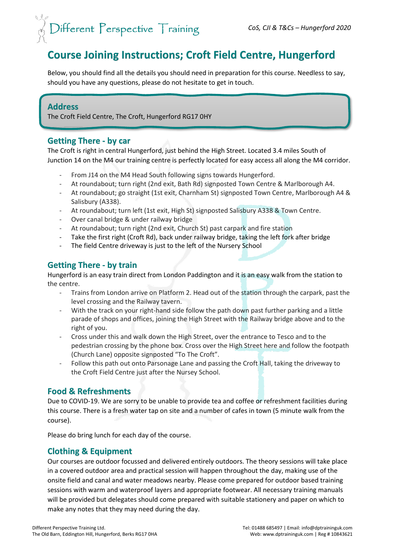# $\textit{Different } \textit{Perspective } \textit{Training}$

# **Course Joining Instructions; Croft Field Centre, Hungerford**

Below, you should find all the details you should need in preparation for this course. Needless to say, should you have any questions, please do not hesitate to get in touch.

## **Address**

The Croft Field Centre, The Croft, Hungerford RG17 0HY

## **Getting There - by car**

The Croft is right in central Hungerford, just behind the High Street. Located 3.4 miles South of Junction 14 on the M4 our training centre is perfectly located for easy access all along the M4 corridor.

- From J14 on the M4 Head South following signs towards Hungerford.
- At roundabout; turn right (2nd exit, Bath Rd) signposted Town Centre & Marlborough A4.
- At roundabout; go straight (1st exit, Charnham St) signposted Town Centre, Marlborough A4 & Salisbury (A338).
- At roundabout; turn left (1st exit, High St) signposted Salisbury A338 & Town Centre.
- Over canal bridge & under railway bridge
- At roundabout; turn right (2nd exit, Church St) past carpark and fire station
- Take the first right (Croft Rd), back under railway bridge, taking the left fork after bridge
- The field Centre driveway is just to the left of the Nursery School

## **Getting There - by train**

Hungerford is an easy train direct from London Paddington and it is an easy walk from the station to the centre.

- Trains from London arrive on Platform 2. Head out of the station through the carpark, past the level crossing and the Railway tavern.
- With the track on your right-hand side follow the path down past further parking and a little parade of shops and offices, joining the High Street with the Railway bridge above and to the right of you.
- Cross under this and walk down the High Street, over the entrance to Tesco and to the pedestrian crossing by the phone box. Cross over the High Street here and follow the footpath (Church Lane) opposite signposted "To The Croft".
- Follow this path out onto Parsonage Lane and passing the Croft Hall, taking the driveway to the Croft Field Centre just after the Nursey School.

## **Food & Refreshments**

Due to COVID-19. We are sorry to be unable to provide tea and coffee or refreshment facilities during this course. There is a fresh water tap on site and a number of cafes in town (5 minute walk from the course).

Please do bring lunch for each day of the course.

## **Clothing & Equipment**

Our courses are outdoor focussed and delivered entirely outdoors. The theory sessions will take place in a covered outdoor area and practical session will happen throughout the day, making use of the onsite field and canal and water meadows nearby. Please come prepared for outdoor based training sessions with warm and waterproof layers and appropriate footwear. All necessary training manuals will be provided but delegates should come prepared with suitable stationery and paper on which to make any notes that they may need during the day.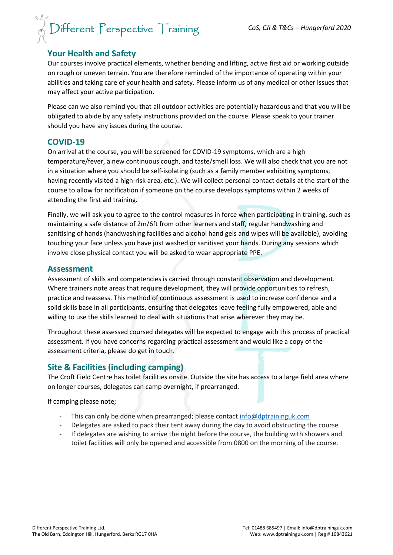# $\textit{Different } \textit{Perspective } \textit{Training}$

## **Your Health and Safety**

Our courses involve practical elements, whether bending and lifting, active first aid or working outside on rough or uneven terrain. You are therefore reminded of the importance of operating within your abilities and taking care of your health and safety. Please inform us of any medical or other issues that may affect your active participation.

Please can we also remind you that all outdoor activities are potentially hazardous and that you will be obligated to abide by any safety instructions provided on the course. Please speak to your trainer should you have any issues during the course.

### **COVID-19**

On arrival at the course, you will be screened for COVID-19 symptoms, which are a high temperature/fever, a new continuous cough, and taste/smell loss. We will also check that you are not in a situation where you should be self-isolating (such as a family member exhibiting symptoms, having recently visited a high-risk area, etc.). We will collect personal contact details at the start of the course to allow for notification if someone on the course develops symptoms within 2 weeks of attending the first aid training.

Finally, we will ask you to agree to the control measures in force when participating in training, such as maintaining a safe distance of 2m/6ft from other learners and staff, regular handwashing and sanitising of hands (handwashing facilities and alcohol hand gels and wipes will be available), avoiding touching your face unless you have just washed or sanitised your hands. During any sessions which involve close physical contact you will be asked to wear appropriate PPE.

### **Assessment**

Assessment of skills and competencies is carried through constant observation and development. Where trainers note areas that require development, they will provide opportunities to refresh, practice and reassess. This method of continuous assessment is used to increase confidence and a solid skills base in all participants, ensuring that delegates leave feeling fully empowered, able and willing to use the skills learned to deal with situations that arise wherever they may be.

Throughout these assessed coursed delegates will be expected to engage with this process of practical assessment. If you have concerns regarding practical assessment and would like a copy of the assessment criteria, please do get in touch.

## **Site & Facilities (including camping)**

The Croft Field Centre has toilet facilities onsite. Outside the site has access to a large field area where on longer courses, delegates can camp overnight, if prearranged.

If camping please note;

- This can only be done when prearranged; please contact  $info@dptraininguk.com$
- Delegates are asked to pack their tent away during the day to avoid obstructing the course
- If delegates are wishing to arrive the night before the course, the building with showers and toilet facilities will only be opened and accessible from 0800 on the morning of the course.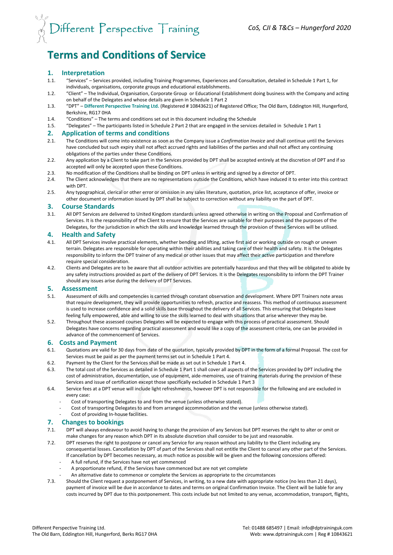# $\frac{1}{\sqrt{2}}$  Different Perspective Training

# **Terms and Conditions of Service**

#### **1. Interpretation**

- 1.1. "Services" Services provided, including Training Programmes, Experiences and Consultation, detailed in Schedule 1 Part 1, for individuals, organisations, corporate groups and educational establishments.
- 1.2. "Client" The Individual, Organisation, Corporate Group or Educational Establishment doing business with the Company and acting on behalf of the Delegates and whose details are given in Schedule 1 Part 2
- 1.3. "DPT" **Different Perspective Training Ltd.** (Registered # 10843621) of Registered Office; The Old Barn, Eddington Hill, Hungerford, Berkshire, RG17 0HA
- 1.4. "Conditions" The terms and conditions set out in this document including the Schedule
- 1.5. "Delegates" The participants listed in Schedule 2 Part 2 that are engaged in the services detailed in Schedule 1 Part 1

# **2. Application of terms and conditions**

- 2.1. The Conditions will come into existence as soon as the Company issue a *Confirmation Invoice* and shall continue until the Services have concluded but such expiry shall not affect accrued rights and liabilities of the parties and shall not affect any continuing obligations of the parties under these Conditions.
- 2.2. Any application by a Client to take part in the Services provided by DPT shall be accepted entirely at the discretion of DPT and if so accepted will only be accepted upon these Conditions.
- 2.3. No modification of the Conditions shall be binding on DPT unless in writing and signed by a director of DPT.
- 2.4. The Client acknowledges that there are no representations outside the Conditions, which have induced it to enter into this contract with DPT.
- 2.5. Any typographical, clerical or other error or omission in any sales literature, quotation, price list, acceptance of offer, invoice or other document or information issued by DPT shall be subject to correction without any liability on the part of DPT.

#### **3. Course Standards**

3.1. All DPT Services are delivered to United Kingdom standards unless agreed otherwise in writing on the Proposal and Confirmation of Services. It is the responsibility of the Client to ensure that the Services are suitable for their purposes and the purposes of the Delegates, for the jurisdiction in which the skills and knowledge learned through the provision of these Services will be utilised.

#### **4. Health and Safety**

- 4.1. All DPT Services involve practical elements, whether bending and lifting, active first aid or working outside on rough or uneven terrain. Delegates are responsible for operating within their abilities and taking care of their health and safety. It is the Delegates responsibility to inform the DPT trainer of any medical or other issues that may affect their active participation and therefore require special consideration.
- 4.2. Clients and Delegates are to be aware that all outdoor activities are potentially hazardous and that they will be obligated to abide by any safety instructions provided as part of the delivery of DPT Services. It is the Delegates responsibility to inform the DPT Trainer should any issues arise during the delivery of DPT Services.

#### **5. Assessment**

- 5.1. Assessment of skills and competencies is carried through constant observation and development. Where DPT Trainers note areas that require development, they will provide opportunities to refresh, practice and reassess. This method of continuous assessment is used to increase confidence and a solid skills base throughout the delivery of all Services. This ensuring that Delegates leave feeling fully empowered, able and willing to use the skills learned to deal with situations that arise wherever they may be.
- 5.2. Throughout these assessed courses Delegates will be expected to engage with this process of practical assessment. Should Delegates have concerns regarding practical assessment and would like a copy of the assessment criteria, one can be provided in advance of the commencement of Services.

#### **6. Costs and Payment**

- 6.1. Quotations are valid for 30 days from date of the quotation, typically provided by DPT in the form of a formal Proposal. The cost for Services must be paid as per the payment terms set out in Schedule 1 Part 4.
- 6.2. Payment by the Client for the Services shall be made as set out in Schedule 1 Part 4.
- 6.3. The total cost of the Services as detailed in Schedule 1 Part 1 shall cover all aspects of the Services provided by DPT including the cost of administration, documentation, use of equipment, aide-memoires, use of training materials during the provision of these Services and issue of certification except those specifically excluded in Schedule 1 Part 3
- 6.4. Service fees at a DPT venue will include light refreshments, however DPT is not responsible for the following and are excluded in every case:
	- Cost of transporting Delegates to and from the venue (unless otherwise stated).
	- Cost of transporting Delegates to and from arranged accommodation and the venue (unless otherwise stated).
	- Cost of providing In-house facilities.

# **7. Changes to bookings**

- DPT will always endeavour to avoid having to change the provision of any Services but DPT reserves the right to alter or omit or make changes for any reason which DPT in its absolute discretion shall consider to be just and reasonable.
- 7.2. DPT reserves the right to postpone or cancel any Service for any reason without any liability to the Client including any consequential losses. Cancellation by DPT of part of the Services shall not entitle the Client to cancel any other part of the Services. If cancellation by DPT becomes necessary, as much notice as possible will be given and the following concessions offered:
	- A full refund, if the Services have not yet commenced
	- A proportionate refund, if the Services have commenced but are not yet complete
	- An alternative date to commence or complete the Services as appropriate to the circumstances
- 7.3. Should the Client request a postponement of Services, in writing, to a new date with appropriate notice (no less than 21 days), payment of invoice will be due in accordance to dates and terms on original Confirmation Invoice. The Client will be liable for any costs incurred by DPT due to this postponement. This costs include but not limited to any venue, accommodation, transport, flights,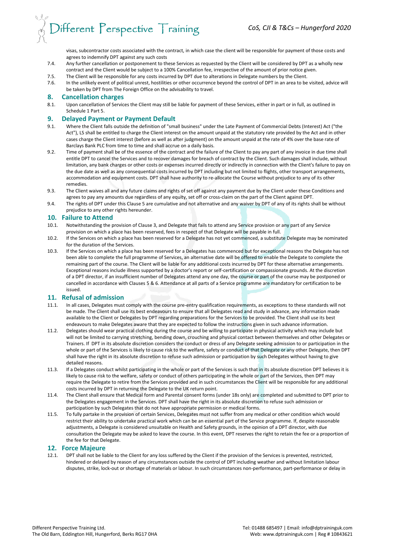visas, subcontractor costs associated with the contract, in which case the client will be responsible for payment of those costs and agrees to indemnify DPT against any such costs

- 7.4. Any further cancellation or postponement to these Services as requested by the Client will be considered by DPT as a wholly new contract and the Client would be subject to a 100% Cancellation fee, irrespective of the amount of prior notice given.
- 7.5. The Client will be responsible for any costs incurred by DPT due to alterations in Delegate numbers by the Client.
- 7.6. In the unlikely event of political unrest, hostilities or other occurrence beyond the control of DPT in an area to be visited, advice will be taken by DPT from The Foreign Office on the advisability to travel.

#### **8. Cancellation charges**

8.1. Upon cancellation of Services the Client may still be liable for payment of these Services, either in part or in full, as outlined in Schedule 1 Part 5.

#### **9. Delayed Payment or Payment Default**

- 9.1. Where the Client falls outside the definition of "small business" under the Late Payment of Commercial Debts (Interest) Act ("the Act"), LS shall be entitled to charge the Client interest on the amount unpaid at the statutory rate provided by the Act and in other cases charge the Client interest (before as well as after judgment) on the amount unpaid at the rate of 4% over the base rate of Barclays Bank PLC from time to time and shall accrue on a daily basis.
- 9.2. Time of payment shall be of the essence of the contract and the failure of the Client to pay any part of any invoice in due time shall entitle DPT to cancel the Services and to recover damages for breach of contract by the Client. Such damages shall include, without limitation, any bank charges or other costs or expenses incurred directly or indirectly in connection with the Client's failure to pay on the due date as well as any consequential costs incurred by DPT including but not limited to flights, other transport arrangements, accommodation and equipment costs. DPT shall have authority to re-allocate the Course without prejudice to any of its other remedies.
- 9.3. The Client waives all and any future claims and rights of set off against any payment due by the Client under these Conditions and agrees to pay any amounts due regardless of any equity, set off or cross-claim on the part of the Client against DPT.
- 9.4. The rights of DPT under this Clause 5 are cumulative and not alternative and any waiver by DPT of any of its rights shall be without prejudice to any other rights hereunder.

#### **10. Failure to Attend**

- 10.1. Notwithstanding the provision of Clause 3, and Delegate that fails to attend any Service provision or any part of any Service provision on which a place has been reserved, fees in respect of that Delegate will be payable in full.
- 10.2. If the Services on which a place has been reserved for a Delegate has not yet commenced, a substitute Delegate may be nominated for the duration of the Services.
- 10.3. If the Services on which a place has been reserved for a Delegates has commenced but for exceptional reasons the Delegate has not been able to complete the full programme of Services, an alternative date will be offered to enable the Delegate to complete the remaining part of the course. The Client will be liable for any additional costs incurred by DPT for these alternative arrangements. Exceptional reasons include illness supported by a doctor's report or self-certification or compassionate grounds. At the discretion of a DPT director, if an insufficient number of Delegates attend any one day, the course or part of the course may be postponed or cancelled in accordance with Clauses 5 & 6. Attendance at all parts of a Service programme are mandatory for certification to be issued.

#### **11. Refusal of admission**

- 11.1. In all cases, Delegates must comply with the course pre-entry qualification requirements, as exceptions to these standards will not be made. The Client shall use its best endeavours to ensure that all Delegates read and study in advance, any information made available to the Client or Delegates by DPT regarding preparations for the Services to be provided. The Client shall use its best endeavours to make Delegates aware that they are expected to follow the instructions given in such advance information.
- 11.2. Delegates should wear practical clothing during the course and be willing to participate in physical activity which may include but will not be limited to carrying stretching, bending down, crouching and physical contact between themselves and other Delegates or Trainers. If DPT in its absolute discretion considers the conduct or dress of any Delegate seeking admission to or participation in the whole or part of the Services is likely to cause risk to the welfare, safety or conduct of that Delegate or any other Delegate, then DPT shall have the right in its absolute discretion to refuse such admission or participation by such Delegates without having to give detailed reasons.
- 11.3. If a Delegates conduct whilst participating in the whole or part of the Services is such that in its absolute discretion DPT believes it is likely to cause risk to the welfare, safety or conduct of others participating in the whole or part of the Services, then DPT may require the Delegate to retire from the Services provided and in such circumstances the Client will be responsible for any additional costs incurred by DPT in returning the Delegate to the UK return point.
- 11.4. The Client shall ensure that Medical form and Parental consent forms (under 18s only) are completed and submitted to DPT prior to the Delegates engagement in the Services. DPT shall have the right in its absolute discretion to refuse such admission or participation by such Delegates that do not have appropriate permission or medical forms.
- 11.5. To fully partake in the provision of certain Services, Delegates must not suffer from any medical or other condition which would restrict their ability to undertake practical work which can be an essential part of the Service programme. If, despite reasonable adjustments, a Delegate is considered unsuitable on Health and Safety grounds, in the opinion of a DPT director, with due consultation the Delegate may be asked to leave the course. In this event, DPT reserves the right to retain the fee or a proportion of the fee for that Delegate.

#### **12. Force Majeure**

12.1. DPT shall not be liable to the Client for any loss suffered by the Client if the provision of the Services is prevented, restricted, hindered or delayed by reason of any circumstances outside the control of DPT including weather and without limitation labour disputes, strike, lock-out or shortage of materials or labour. In such circumstances non-performance, part-performance or delay in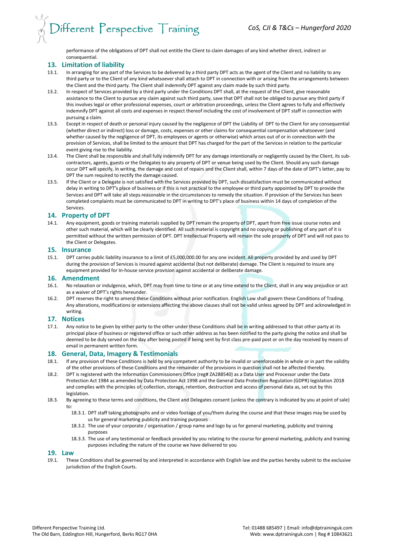# $\bigcirc$ ifferent Perspective  $\top$ raining

performance of the obligations of DPT shall not entitle the Client to claim damages of any kind whether direct, indirect or consequential.

#### **13. Limitation of liability**

- 13.1. In arranging for any part of the Services to be delivered by a third party DPT acts as the agent of the Client and no liability to any third party or to the Client of any kind whatsoever shall attach to DPT in connection with or arising from the arrangements between the Client and the third party. The Client shall indemnify DPT against any claim made by such third party.
- 13.2. In respect of Services provided by a third party under the Conditions DPT shall, at the request of the Client, give reasonable assistance to the Client to pursue any claim against such third party, save that DPT shall not be obliged to pursue any third party if this involves legal or other professional expenses, court or arbitration proceedings, unless the Client agrees to fully and effectively indemnify DPT against all costs and expenses in respect thereof including the cost of involvement of DPT staff in connection with pursuing a claim.
- 13.3. Except in respect of death or personal injury caused by the negligence of DPT the Liability of DPT to the Client for any consequential (whether direct or indirect) loss or damage, costs, expenses or other claims for consequential compensation whatsoever (and whether caused by the negligence of DPT, its employees or agents or otherwise) which arises out of or in connection with the provision of Services, shall be limited to the amount that DPT has charged for the part of the Services in relation to the particular event giving rise to the liability.
- 13.4. The Client shall be responsible and shall fully indemnify DPT for any damage intentionally or negligently caused by the Client, its subcontractors, agents, guests or the Delegates to any property of DPT or venue being used by the Client. Should any such damage occur DPT will specify, in writing, the damage and cost of repairs and the Client shall, within 7 days of the date of DPT's letter, pay to DPT the sum required to rectify the damage caused.
- 13.5. If the Client or a Delegate is not satisfied with the Services provided by DPT, such dissatisfaction must be communicated without delay in writing to DPT's place of business or if this is not practical to the employee or third party appointed by DPT to provide the Services and DPT will take all steps reasonable in the circumstances to remedy the situation. If provision of the Services has been completed complaints must be communicated to DPT in writing to DPT's place of business within 14 days of completion of the Services.

#### **14. Property of DPT**

14.1. Any equipment, goods or training materials supplied by DPT remain the property of DPT, apart from free issue course notes and other such material, which will be clearly identified. All such material is copyright and no copying or publishing of any part of it is permitted without the written permission of DPT. DPT Intellectual Property will remain the sole property of DPT and will not pass to the Client or Delegates.

#### **15. Insurance**

15.1. DPT carries public liability insurance to a limit of £5,000,000.00 for any one incident. All property provided by and used by DPT during the provision of Services is insured against accidental (but not deliberate) damage. The Client is required to insure any equipment provided for In-house service provision against accidental or deliberate damage.

#### **16. Amendment**

- 16.1. No relaxation or indulgence, which, DPT may from time to time or at any time extend to the Client, shall in any way prejudice or act as a waiver of DPT's rights hereunder.
- 16.2. DPT reserves the right to amend these Conditions without prior notification. English Law shall govern these Conditions of Trading. Any alterations, modifications or extensions affecting the above clauses shall not be valid unless agreed by DPT and acknowledged in writing.

#### **17. Notices**

17.1. Any notice to be given by either party to the other under these Conditions shall be in writing addressed to that other party at its principal place of business or registered office or such other address as has been notified to the party giving the notice and shall be deemed to be duly served on the day after being posted if being sent by first class pre-paid post or on the day received by means of email in permanent written form.

#### **18. General, Data, Imagery & Testimonials**

- 18.1. If any provision of these Conditions is held by any competent authority to be invalid or unenforceable in whole or in part the validity of the other provisions of these Conditions and the remainder of the provisions in question shall not be affected thereby.
- 18.2. DPT is registered with the Information Commissioners Office (reg# ZA288540) as a Data User and Processor under the Data Protection Act 1984 as amended by Data Protection Act 1998 and the General Data Protection Regulation (GDPR) legislation 2018 and complies with the principles of; collection, storage, retention, destruction and access of personal data as, set out by this legislation.
- 18.3. By agreeing to these terms and conditions, the Client and Delegates consent (unless the contrary is indicated by you at point of sale) to:
	- 18.3.1. DPT staff taking photographs and or video footage of you/them during the course and that these images may be used by us for general marketing publicity and training purposes
	- 18.3.2. The use of your corporate / organisation / group name and logo by us for general marketing, publicity and training purposes
	- 18.3.3. The use of any testimonial or feedback provided by you relating to the course for general marketing, publicity and training purposes including the nature of the course we have delivered to you

#### **19. Law**

19.1. These Conditions shall be governed by and interpreted in accordance with English law and the parties hereby submit to the exclusive jurisdiction of the English Courts.